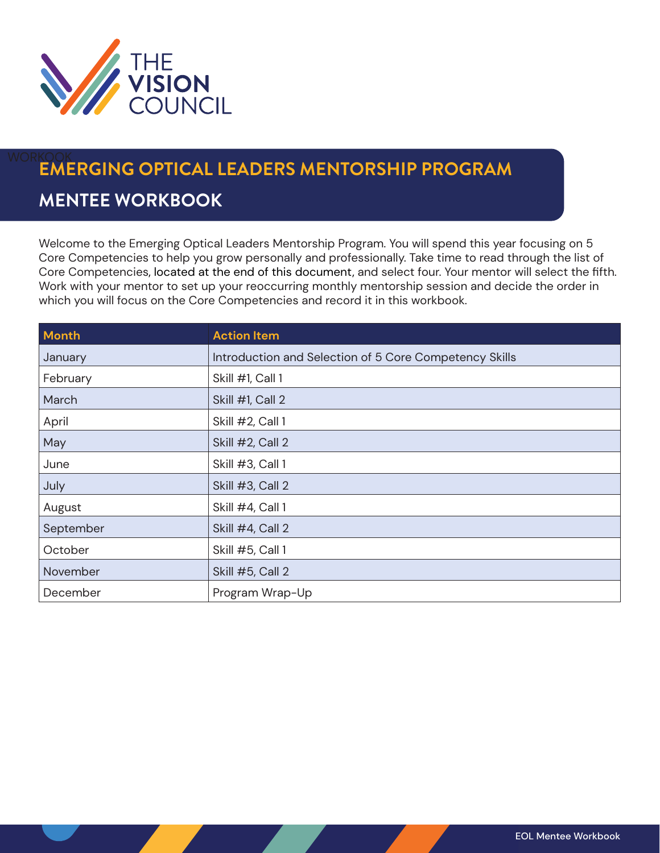

### WORKOOK **EMERGING OPTICAL LEADERS MENTORSHIP PROGRAM**

# **MENTEE WORKBOOK**

Welcome to the Emerging Optical Leaders Mentorship Program. You will spend this year focusing on 5 Core Competencies to help you grow personally and professionally. Take time to read through the list of Core Competencies, located at the end of this document, and select four. Your mentor will select the fifth. Work with your mentor to set up your reoccurring monthly mentorship session and decide the order in which you will focus on the Core Competencies and record it in this workbook.

| Month     | <b>Action Item</b>                                     |
|-----------|--------------------------------------------------------|
| January   | Introduction and Selection of 5 Core Competency Skills |
| February  | Skill #1, Call 1                                       |
| March     | Skill #1, Call 2                                       |
| April     | Skill #2, Call 1                                       |
| May       | Skill #2, Call 2                                       |
| June      | Skill #3, Call 1                                       |
| July      | Skill #3, Call 2                                       |
| August    | Skill #4, Call 1                                       |
| September | Skill #4, Call 2                                       |
| October   | Skill #5, Call 1                                       |
| November  | Skill #5, Call 2                                       |
| December  | Program Wrap-Up                                        |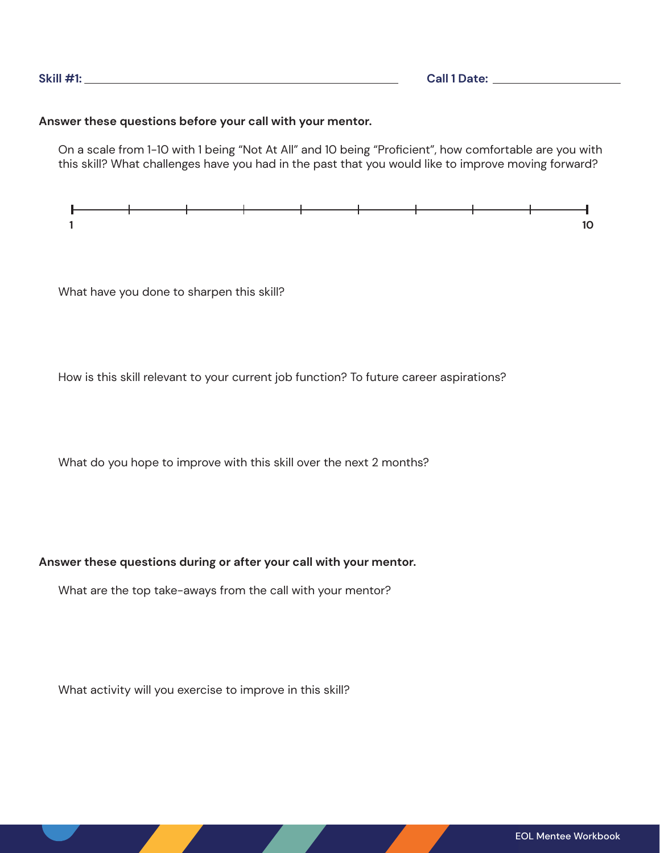**Skill #1: Call 1 Date:**

#### **Answer these questions before your call with your mentor.**

On a scale from 1-10 with 1 being "Not At All" and 10 being "Proficient", how comfortable are you with this skill? What challenges have you had in the past that you would like to improve moving forward?



What have you done to sharpen this skill?

How is this skill relevant to your current job function? To future career aspirations?

What do you hope to improve with this skill over the next 2 months?

**Answer these questions during or after your call with your mentor.** 

What are the top take-aways from the call with your mentor?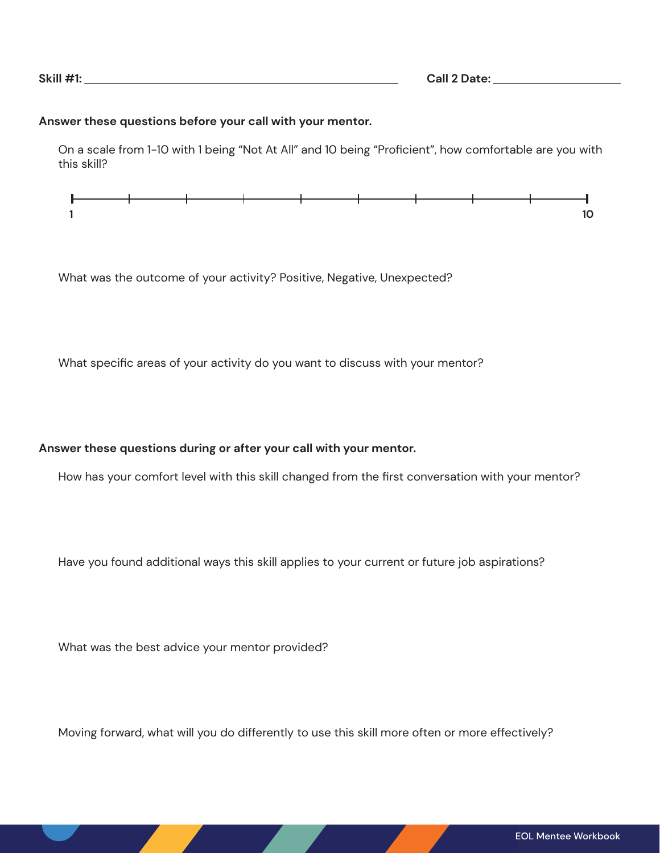**Skill #1: Call 2 Date:** 

#### **Answer these questions before your call with your mentor.**

On a scale from 1-10 with 1 being "Not At All" and 10 being "Proficient", how comfortable are you with this skill?



What was the outcome of your activity? Positive, Negative, Unexpected?

What specific areas of your activity do you want to discuss with your mentor?

**Answer these questions during or after your call with your mentor.** 

How has your comfort level with this skill changed from the first conversation with your mentor?

Have you found additional ways this skill applies to your current or future job aspirations?

What was the best advice your mentor provided?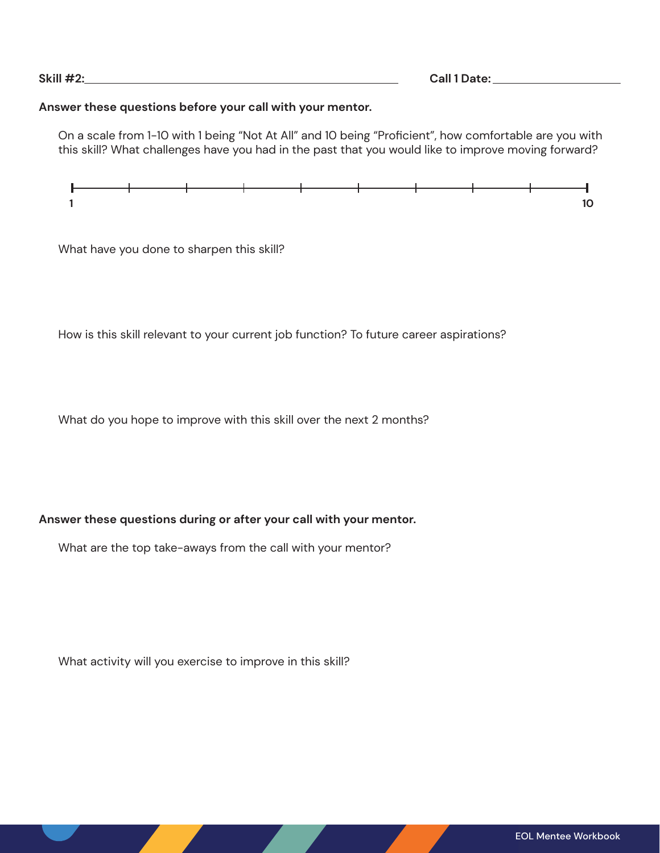**Skill #2: Call 1 Date:**

#### **Answer these questions before your call with your mentor.**

On a scale from 1-10 with 1 being "Not At All" and 10 being "Proficient", how comfortable are you with this skill? What challenges have you had in the past that you would like to improve moving forward?

 $\overline{\phantom{a}}$ ⊢ **1 10**

What have you done to sharpen this skill?

How is this skill relevant to your current job function? To future career aspirations?

What do you hope to improve with this skill over the next 2 months?

#### **Answer these questions during or after your call with your mentor.**

What are the top take-aways from the call with your mentor?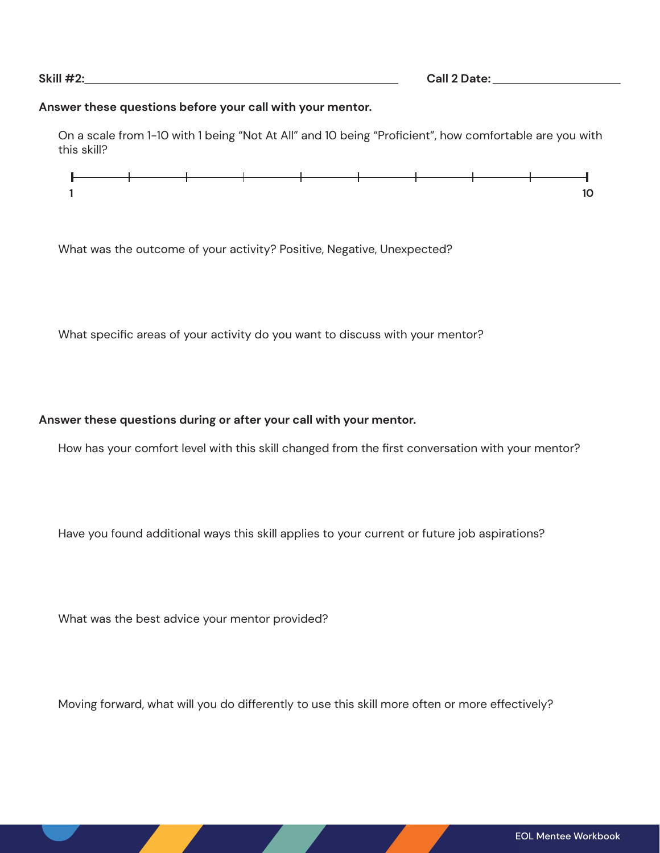**Skill #2: Call 2 Date:** 

#### **Answer these questions before your call with your mentor.**

On a scale from 1-10 with 1 being "Not At All" and 10 being "Proficient", how comfortable are you with this skill?



What was the outcome of your activity? Positive, Negative, Unexpected?

What specific areas of your activity do you want to discuss with your mentor?

**Answer these questions during or after your call with your mentor.** 

How has your comfort level with this skill changed from the first conversation with your mentor?

Have you found additional ways this skill applies to your current or future job aspirations?

What was the best advice your mentor provided?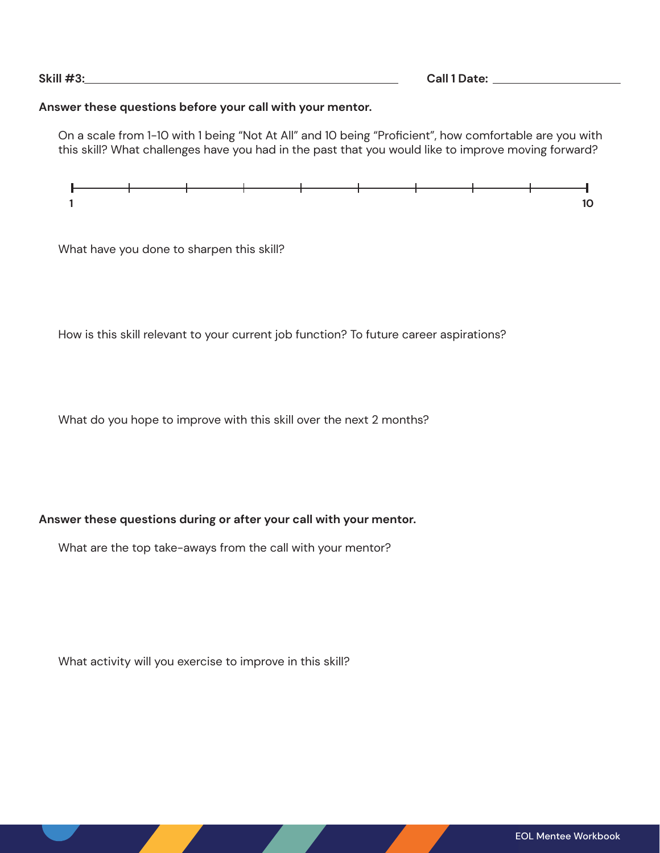**Skill #3: Call 1 Date:** 

#### **Answer these questions before your call with your mentor.**

On a scale from 1-10 with 1 being "Not At All" and 10 being "Proficient", how comfortable are you with this skill? What challenges have you had in the past that you would like to improve moving forward?

 $\overline{\phantom{a}}$ ⊢  $\overline{\phantom{a}}$  $+$   $-$ **1 10**

What have you done to sharpen this skill?

How is this skill relevant to your current job function? To future career aspirations?

What do you hope to improve with this skill over the next 2 months?

#### **Answer these questions during or after your call with your mentor.**

What are the top take-aways from the call with your mentor?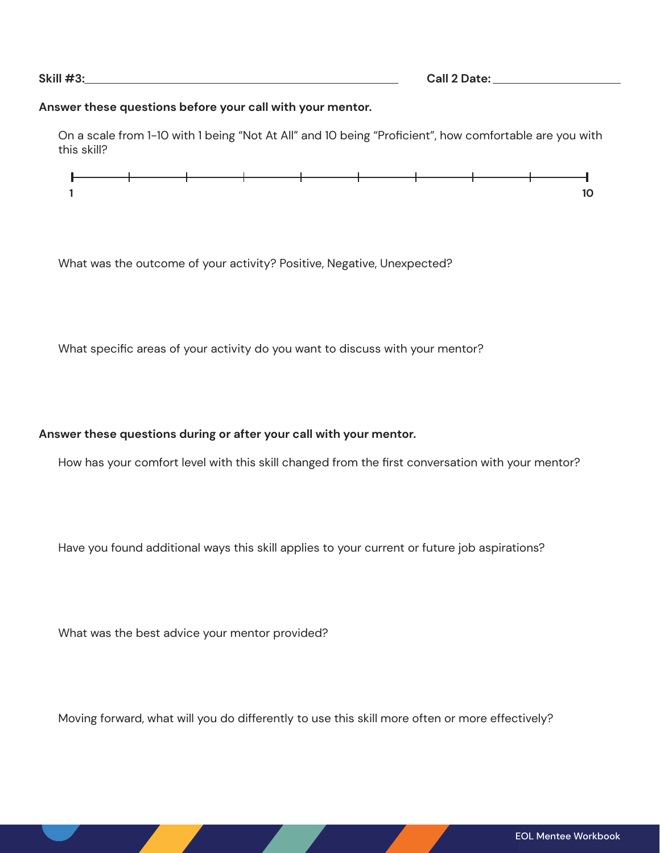**Skill #3: Call 2 Date:** 

#### **Answer these questions before your call with your mentor.**

On a scale from 1-10 with 1 being "Not At All" and 10 being "Proficient", how comfortable are you with this skill?



What was the outcome of your activity? Positive, Negative, Unexpected?

What specific areas of your activity do you want to discuss with your mentor?

**Answer these questions during or after your call with your mentor.** 

How has your comfort level with this skill changed from the first conversation with your mentor?

Have you found additional ways this skill applies to your current or future job aspirations?

What was the best advice your mentor provided?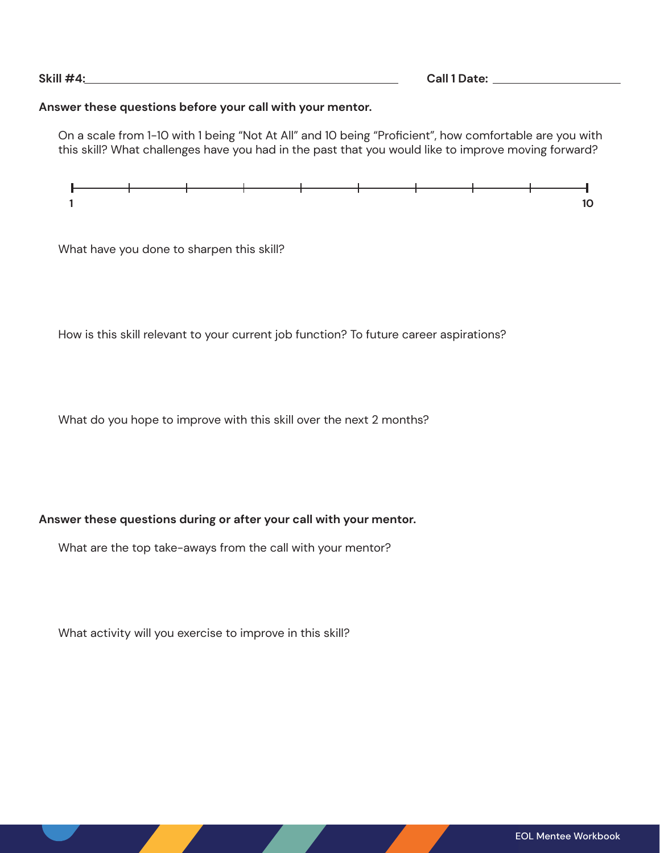**Skill #4: Call 1 Date:** 

#### **Answer these questions before your call with your mentor.**

On a scale from 1-10 with 1 being "Not At All" and 10 being "Proficient", how comfortable are you with this skill? What challenges have you had in the past that you would like to improve moving forward?

 $\overline{\phantom{a}}$ ⊢ ╇ **1 10**

What have you done to sharpen this skill?

How is this skill relevant to your current job function? To future career aspirations?

What do you hope to improve with this skill over the next 2 months?

#### **Answer these questions during or after your call with your mentor.**

What are the top take-aways from the call with your mentor?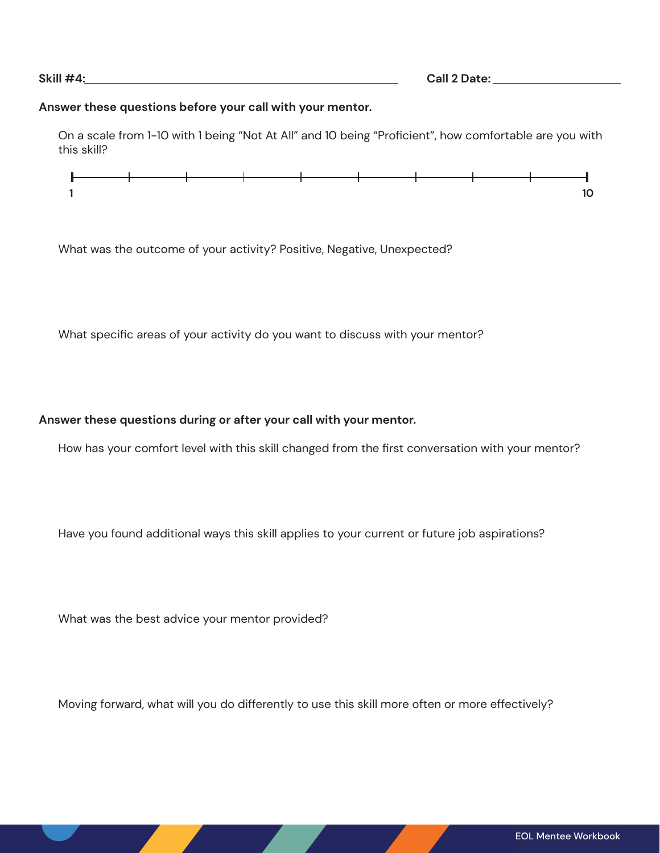**Skill #4: Call 2 Date:** 

#### **Answer these questions before your call with your mentor.**

On a scale from 1-10 with 1 being "Not At All" and 10 being "Proficient", how comfortable are you with this skill?



What was the outcome of your activity? Positive, Negative, Unexpected?

What specific areas of your activity do you want to discuss with your mentor?

**Answer these questions during or after your call with your mentor.** 

How has your comfort level with this skill changed from the first conversation with your mentor?

Have you found additional ways this skill applies to your current or future job aspirations?

What was the best advice your mentor provided?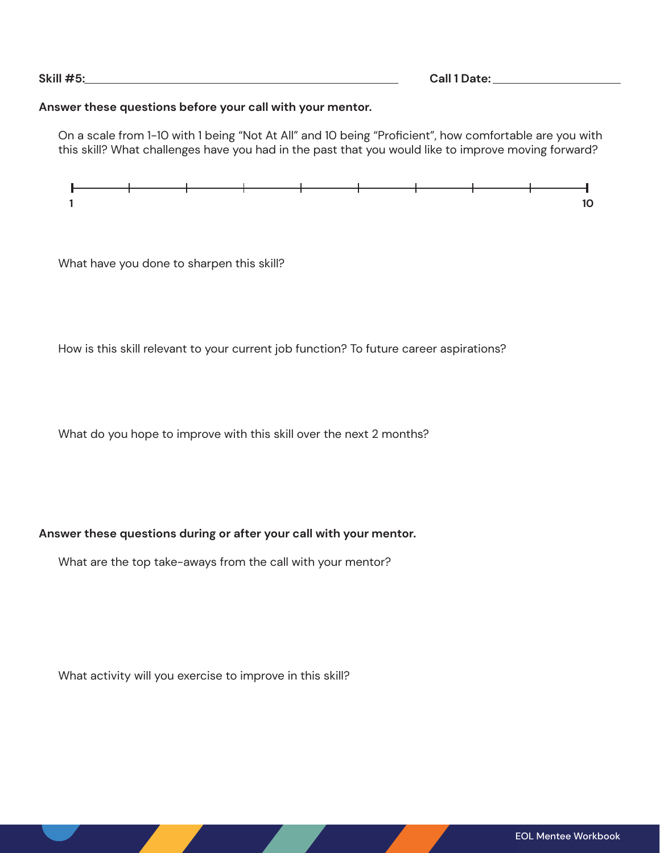**Skill #5: Call 1 Date:** 

#### **Answer these questions before your call with your mentor.**

On a scale from 1-10 with 1 being "Not At All" and 10 being "Proficient", how comfortable are you with this skill? What challenges have you had in the past that you would like to improve moving forward?

 $\overline{\phantom{a}}$ ⊢ **1 10**

What have you done to sharpen this skill?

How is this skill relevant to your current job function? To future career aspirations?

What do you hope to improve with this skill over the next 2 months?

**Answer these questions during or after your call with your mentor.** 

What are the top take-aways from the call with your mentor?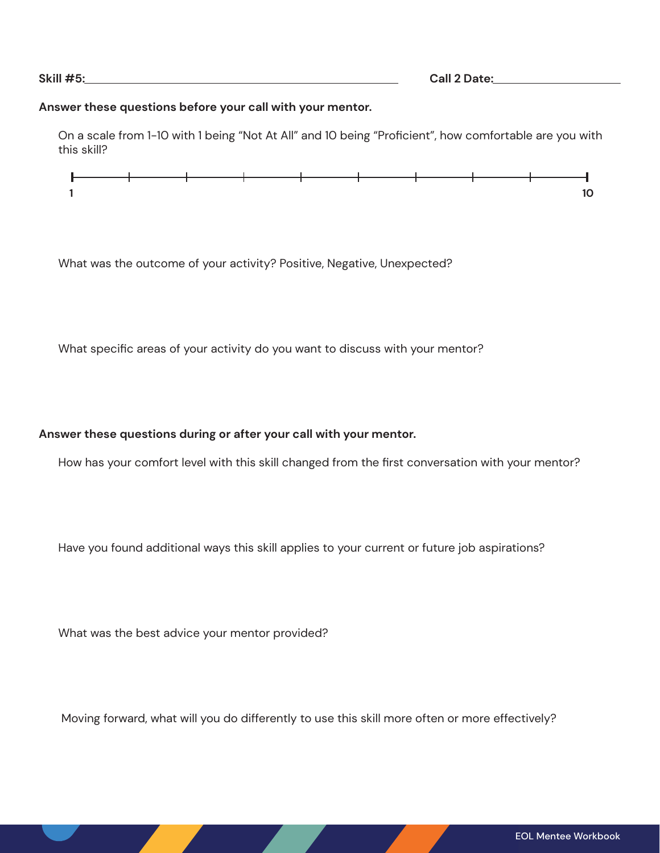**Skill #5: Call 2 Date:** 

#### **Answer these questions before your call with your mentor.**

On a scale from 1-10 with 1 being "Not At All" and 10 being "Proficient", how comfortable are you with this skill?



What was the outcome of your activity? Positive, Negative, Unexpected?

What specific areas of your activity do you want to discuss with your mentor?

**Answer these questions during or after your call with your mentor.** 

How has your comfort level with this skill changed from the first conversation with your mentor?

Have you found additional ways this skill applies to your current or future job aspirations?

What was the best advice your mentor provided?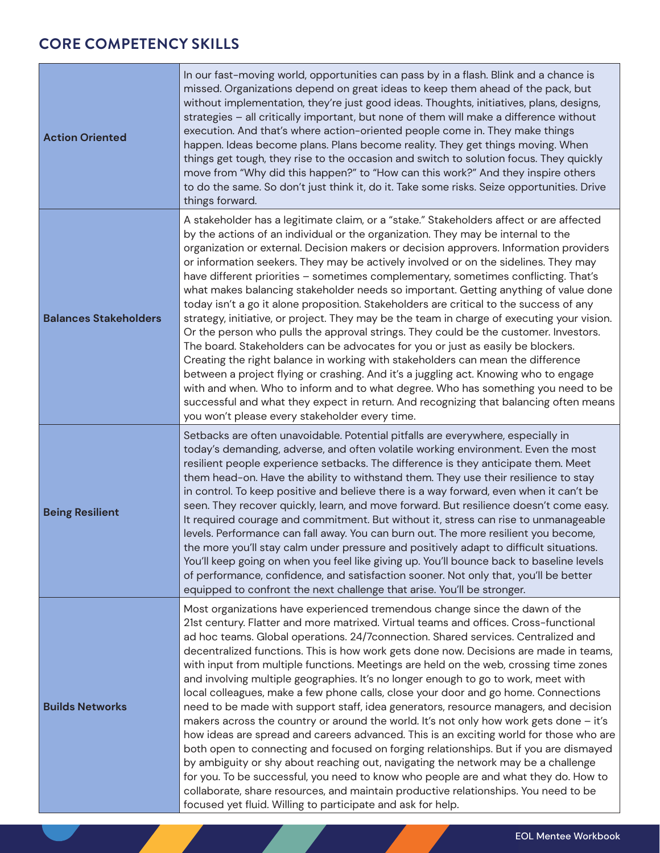## **CORE COMPETENCY SKILLS**

| <b>Action Oriented</b>       | In our fast-moving world, opportunities can pass by in a flash. Blink and a chance is<br>missed. Organizations depend on great ideas to keep them ahead of the pack, but<br>without implementation, they're just good ideas. Thoughts, initiatives, plans, designs,<br>strategies - all critically important, but none of them will make a difference without<br>execution. And that's where action-oriented people come in. They make things<br>happen. Ideas become plans. Plans become reality. They get things moving. When<br>things get tough, they rise to the occasion and switch to solution focus. They quickly<br>move from "Why did this happen?" to "How can this work?" And they inspire others<br>to do the same. So don't just think it, do it. Take some risks. Seize opportunities. Drive<br>things forward.                                                                                                                                                                                                                                                                                                                                                                                                                                                                                                |
|------------------------------|-------------------------------------------------------------------------------------------------------------------------------------------------------------------------------------------------------------------------------------------------------------------------------------------------------------------------------------------------------------------------------------------------------------------------------------------------------------------------------------------------------------------------------------------------------------------------------------------------------------------------------------------------------------------------------------------------------------------------------------------------------------------------------------------------------------------------------------------------------------------------------------------------------------------------------------------------------------------------------------------------------------------------------------------------------------------------------------------------------------------------------------------------------------------------------------------------------------------------------------------------------------------------------------------------------------------------------|
| <b>Balances Stakeholders</b> | A stakeholder has a legitimate claim, or a "stake." Stakeholders affect or are affected<br>by the actions of an individual or the organization. They may be internal to the<br>organization or external. Decision makers or decision approvers. Information providers<br>or information seekers. They may be actively involved or on the sidelines. They may<br>have different priorities - sometimes complementary, sometimes conflicting. That's<br>what makes balancing stakeholder needs so important. Getting anything of value done<br>today isn't a go it alone proposition. Stakeholders are critical to the success of any<br>strategy, initiative, or project. They may be the team in charge of executing your vision.<br>Or the person who pulls the approval strings. They could be the customer. Investors.<br>The board. Stakeholders can be advocates for you or just as easily be blockers.<br>Creating the right balance in working with stakeholders can mean the difference<br>between a project flying or crashing. And it's a juggling act. Knowing who to engage<br>with and when. Who to inform and to what degree. Who has something you need to be<br>successful and what they expect in return. And recognizing that balancing often means<br>you won't please every stakeholder every time.       |
| <b>Being Resilient</b>       | Setbacks are often unavoidable. Potential pitfalls are everywhere, especially in<br>today's demanding, adverse, and often volatile working environment. Even the most<br>resilient people experience setbacks. The difference is they anticipate them. Meet<br>them head-on. Have the ability to withstand them. They use their resilience to stay<br>in control. To keep positive and believe there is a way forward, even when it can't be<br>seen. They recover quickly, learn, and move forward. But resilience doesn't come easy.<br>It required courage and commitment. But without it, stress can rise to unmanageable<br>levels. Performance can fall away. You can burn out. The more resilient you become,<br>the more you'll stay calm under pressure and positively adapt to difficult situations.<br>You'll keep going on when you feel like giving up. You'll bounce back to baseline levels<br>of performance, confidence, and satisfaction sooner. Not only that, you'll be better<br>equipped to confront the next challenge that arise. You'll be stronger.                                                                                                                                                                                                                                                 |
| <b>Builds Networks</b>       | Most organizations have experienced tremendous change since the dawn of the<br>21st century. Flatter and more matrixed. Virtual teams and offices. Cross-functional<br>ad hoc teams. Global operations. 24/7connection. Shared services. Centralized and<br>decentralized functions. This is how work gets done now. Decisions are made in teams,<br>with input from multiple functions. Meetings are held on the web, crossing time zones<br>and involving multiple geographies. It's no longer enough to go to work, meet with<br>local colleagues, make a few phone calls, close your door and go home. Connections<br>need to be made with support staff, idea generators, resource managers, and decision<br>makers across the country or around the world. It's not only how work gets done - it's<br>how ideas are spread and careers advanced. This is an exciting world for those who are<br>both open to connecting and focused on forging relationships. But if you are dismayed<br>by ambiguity or shy about reaching out, navigating the network may be a challenge<br>for you. To be successful, you need to know who people are and what they do. How to<br>collaborate, share resources, and maintain productive relationships. You need to be<br>focused yet fluid. Willing to participate and ask for help. |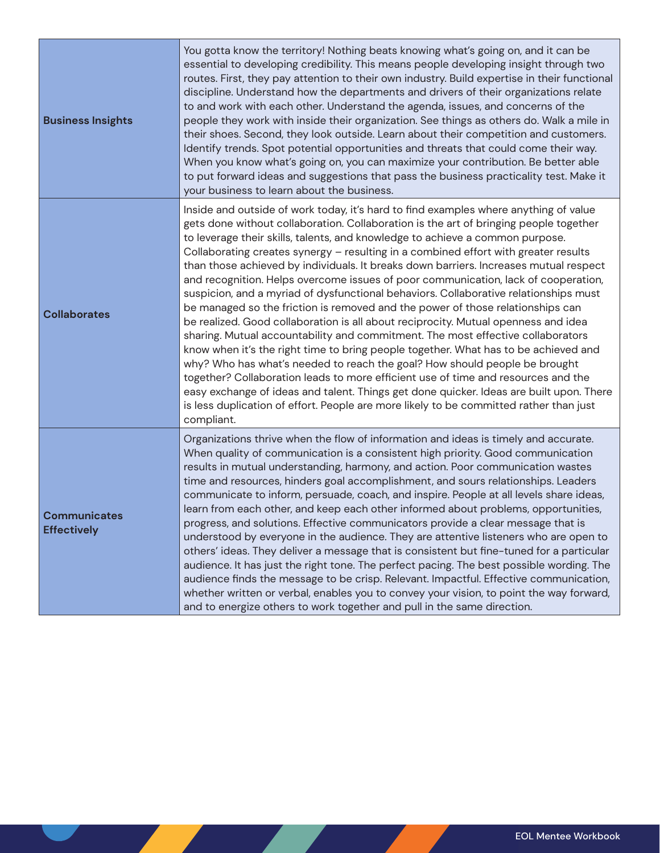| <b>Business Insights</b>                  | You gotta know the territory! Nothing beats knowing what's going on, and it can be<br>essential to developing credibility. This means people developing insight through two<br>routes. First, they pay attention to their own industry. Build expertise in their functional<br>discipline. Understand how the departments and drivers of their organizations relate<br>to and work with each other. Understand the agenda, issues, and concerns of the<br>people they work with inside their organization. See things as others do. Walk a mile in<br>their shoes. Second, they look outside. Learn about their competition and customers.<br>Identify trends. Spot potential opportunities and threats that could come their way.<br>When you know what's going on, you can maximize your contribution. Be better able<br>to put forward ideas and suggestions that pass the business practicality test. Make it<br>your business to learn about the business.                                                                                                                                                                                                                                                                                                                                                                                      |
|-------------------------------------------|------------------------------------------------------------------------------------------------------------------------------------------------------------------------------------------------------------------------------------------------------------------------------------------------------------------------------------------------------------------------------------------------------------------------------------------------------------------------------------------------------------------------------------------------------------------------------------------------------------------------------------------------------------------------------------------------------------------------------------------------------------------------------------------------------------------------------------------------------------------------------------------------------------------------------------------------------------------------------------------------------------------------------------------------------------------------------------------------------------------------------------------------------------------------------------------------------------------------------------------------------------------------------------------------------------------------------------------------------|
| <b>Collaborates</b>                       | Inside and outside of work today, it's hard to find examples where anything of value<br>gets done without collaboration. Collaboration is the art of bringing people together<br>to leverage their skills, talents, and knowledge to achieve a common purpose.<br>Collaborating creates synergy - resulting in a combined effort with greater results<br>than those achieved by individuals. It breaks down barriers. Increases mutual respect<br>and recognition. Helps overcome issues of poor communication, lack of cooperation,<br>suspicion, and a myriad of dysfunctional behaviors. Collaborative relationships must<br>be managed so the friction is removed and the power of those relationships can<br>be realized. Good collaboration is all about reciprocity. Mutual openness and idea<br>sharing. Mutual accountability and commitment. The most effective collaborators<br>know when it's the right time to bring people together. What has to be achieved and<br>why? Who has what's needed to reach the goal? How should people be brought<br>together? Collaboration leads to more efficient use of time and resources and the<br>easy exchange of ideas and talent. Things get done quicker. Ideas are built upon. There<br>is less duplication of effort. People are more likely to be committed rather than just<br>compliant. |
| <b>Communicates</b><br><b>Effectively</b> | Organizations thrive when the flow of information and ideas is timely and accurate.<br>When quality of communication is a consistent high priority. Good communication<br>results in mutual understanding, harmony, and action. Poor communication wastes<br>time and resources, hinders goal accomplishment, and sours relationships. Leaders<br>communicate to inform, persuade, coach, and inspire. People at all levels share ideas,<br>learn from each other, and keep each other informed about problems, opportunities,<br>progress, and solutions. Effective communicators provide a clear message that is<br>understood by everyone in the audience. They are attentive listeners who are open to<br>others' ideas. They deliver a message that is consistent but fine-tuned for a particular<br>audience. It has just the right tone. The perfect pacing. The best possible wording. The<br>audience finds the message to be crisp. Relevant. Impactful. Effective communication,<br>whether written or verbal, enables you to convey your vision, to point the way forward,<br>and to energize others to work together and pull in the same direction.                                                                                                                                                                                    |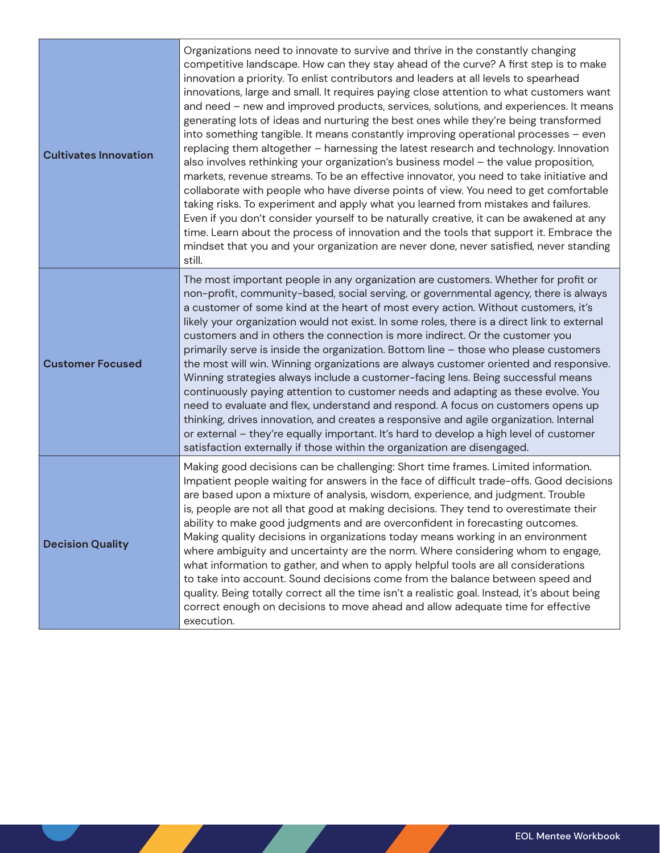| <b>Cultivates Innovation</b> | Organizations need to innovate to survive and thrive in the constantly changing<br>competitive landscape. How can they stay ahead of the curve? A first step is to make<br>innovation a priority. To enlist contributors and leaders at all levels to spearhead<br>innovations, large and small. It requires paying close attention to what customers want<br>and need - new and improved products, services, solutions, and experiences. It means<br>generating lots of ideas and nurturing the best ones while they're being transformed<br>into something tangible. It means constantly improving operational processes - even<br>replacing them altogether - harnessing the latest research and technology. Innovation<br>also involves rethinking your organization's business model - the value proposition,<br>markets, revenue streams. To be an effective innovator, you need to take initiative and<br>collaborate with people who have diverse points of view. You need to get comfortable<br>taking risks. To experiment and apply what you learned from mistakes and failures.<br>Even if you don't consider yourself to be naturally creative, it can be awakened at any<br>time. Learn about the process of innovation and the tools that support it. Embrace the<br>mindset that you and your organization are never done, never satisfied, never standing<br>still. |
|------------------------------|--------------------------------------------------------------------------------------------------------------------------------------------------------------------------------------------------------------------------------------------------------------------------------------------------------------------------------------------------------------------------------------------------------------------------------------------------------------------------------------------------------------------------------------------------------------------------------------------------------------------------------------------------------------------------------------------------------------------------------------------------------------------------------------------------------------------------------------------------------------------------------------------------------------------------------------------------------------------------------------------------------------------------------------------------------------------------------------------------------------------------------------------------------------------------------------------------------------------------------------------------------------------------------------------------------------------------------------------------------------------------------------|
| <b>Customer Focused</b>      | The most important people in any organization are customers. Whether for profit or<br>non-profit, community-based, social serving, or governmental agency, there is always<br>a customer of some kind at the heart of most every action. Without customers, it's<br>likely your organization would not exist. In some roles, there is a direct link to external<br>customers and in others the connection is more indirect. Or the customer you<br>primarily serve is inside the organization. Bottom line - those who please customers<br>the most will win. Winning organizations are always customer oriented and responsive.<br>Winning strategies always include a customer-facing lens. Being successful means<br>continuously paying attention to customer needs and adapting as these evolve. You<br>need to evaluate and flex, understand and respond. A focus on customers opens up<br>thinking, drives innovation, and creates a responsive and agile organization. Internal<br>or external - they're equally important. It's hard to develop a high level of customer<br>satisfaction externally if those within the organization are disengaged.                                                                                                                                                                                                                        |
| <b>Decision Quality</b>      | Making good decisions can be challenging: Short time frames. Limited information.<br>Impatient people waiting for answers in the face of difficult trade-offs. Good decisions<br>are based upon a mixture of analysis, wisdom, experience, and judgment. Trouble<br>is, people are not all that good at making decisions. They tend to overestimate their<br>ability to make good judgments and are overconfident in forecasting outcomes.<br>Making quality decisions in organizations today means working in an environment<br>where ambiguity and uncertainty are the norm. Where considering whom to engage,<br>what information to gather, and when to apply helpful tools are all considerations<br>to take into account. Sound decisions come from the balance between speed and<br>quality. Being totally correct all the time isn't a realistic goal. Instead, it's about being<br>correct enough on decisions to move ahead and allow adequate time for effective<br>execution.                                                                                                                                                                                                                                                                                                                                                                                            |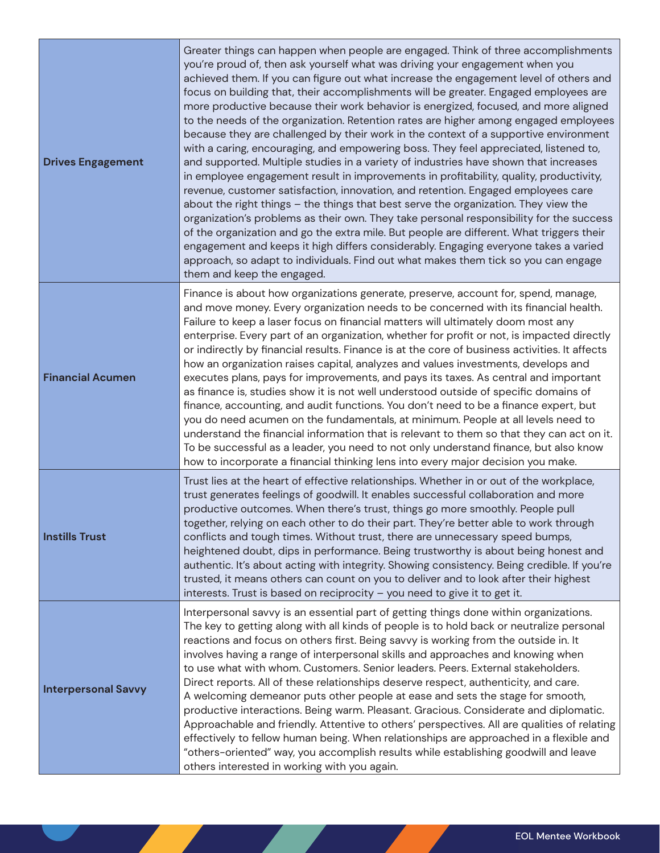| <b>Drives Engagement</b>   | Greater things can happen when people are engaged. Think of three accomplishments<br>you're proud of, then ask yourself what was driving your engagement when you<br>achieved them. If you can figure out what increase the engagement level of others and<br>focus on building that, their accomplishments will be greater. Engaged employees are<br>more productive because their work behavior is energized, focused, and more aligned<br>to the needs of the organization. Retention rates are higher among engaged employees<br>because they are challenged by their work in the context of a supportive environment<br>with a caring, encouraging, and empowering boss. They feel appreciated, listened to,<br>and supported. Multiple studies in a variety of industries have shown that increases<br>in employee engagement result in improvements in profitability, quality, productivity,<br>revenue, customer satisfaction, innovation, and retention. Engaged employees care<br>about the right things - the things that best serve the organization. They view the<br>organization's problems as their own. They take personal responsibility for the success<br>of the organization and go the extra mile. But people are different. What triggers their<br>engagement and keeps it high differs considerably. Engaging everyone takes a varied<br>approach, so adapt to individuals. Find out what makes them tick so you can engage<br>them and keep the engaged. |
|----------------------------|-----------------------------------------------------------------------------------------------------------------------------------------------------------------------------------------------------------------------------------------------------------------------------------------------------------------------------------------------------------------------------------------------------------------------------------------------------------------------------------------------------------------------------------------------------------------------------------------------------------------------------------------------------------------------------------------------------------------------------------------------------------------------------------------------------------------------------------------------------------------------------------------------------------------------------------------------------------------------------------------------------------------------------------------------------------------------------------------------------------------------------------------------------------------------------------------------------------------------------------------------------------------------------------------------------------------------------------------------------------------------------------------------------------------------------------------------------------------------------------|
| <b>Financial Acumen</b>    | Finance is about how organizations generate, preserve, account for, spend, manage,<br>and move money. Every organization needs to be concerned with its financial health.<br>Failure to keep a laser focus on financial matters will ultimately doom most any<br>enterprise. Every part of an organization, whether for profit or not, is impacted directly<br>or indirectly by financial results. Finance is at the core of business activities. It affects<br>how an organization raises capital, analyzes and values investments, develops and<br>executes plans, pays for improvements, and pays its taxes. As central and important<br>as finance is, studies show it is not well understood outside of specific domains of<br>finance, accounting, and audit functions. You don't need to be a finance expert, but<br>you do need acumen on the fundamentals, at minimum. People at all levels need to<br>understand the financial information that is relevant to them so that they can act on it.<br>To be successful as a leader, you need to not only understand finance, but also know<br>how to incorporate a financial thinking lens into every major decision you make.                                                                                                                                                                                                                                                                                             |
| <b>Instills Trust</b>      | Trust lies at the heart of effective relationships. Whether in or out of the workplace,<br>trust generates feelings of goodwill. It enables successful collaboration and more<br>productive outcomes. When there's trust, things go more smoothly. People pull<br>together, relying on each other to do their part. They're better able to work through<br>conflicts and tough times. Without trust, there are unnecessary speed bumps,<br>heightened doubt, dips in performance. Being trustworthy is about being honest and<br>authentic. It's about acting with integrity. Showing consistency. Being credible. If you're<br>trusted, it means others can count on you to deliver and to look after their highest<br>interests. Trust is based on reciprocity - you need to give it to get it.                                                                                                                                                                                                                                                                                                                                                                                                                                                                                                                                                                                                                                                                                 |
| <b>Interpersonal Savvy</b> | Interpersonal savvy is an essential part of getting things done within organizations.<br>The key to getting along with all kinds of people is to hold back or neutralize personal<br>reactions and focus on others first. Being savvy is working from the outside in. It<br>involves having a range of interpersonal skills and approaches and knowing when<br>to use what with whom. Customers. Senior leaders. Peers. External stakeholders.<br>Direct reports. All of these relationships deserve respect, authenticity, and care.<br>A welcoming demeanor puts other people at ease and sets the stage for smooth,<br>productive interactions. Being warm. Pleasant. Gracious. Considerate and diplomatic.<br>Approachable and friendly. Attentive to others' perspectives. All are qualities of relating<br>effectively to fellow human being. When relationships are approached in a flexible and<br>"others-oriented" way, you accomplish results while establishing goodwill and leave<br>others interested in working with you again.                                                                                                                                                                                                                                                                                                                                                                                                                                    |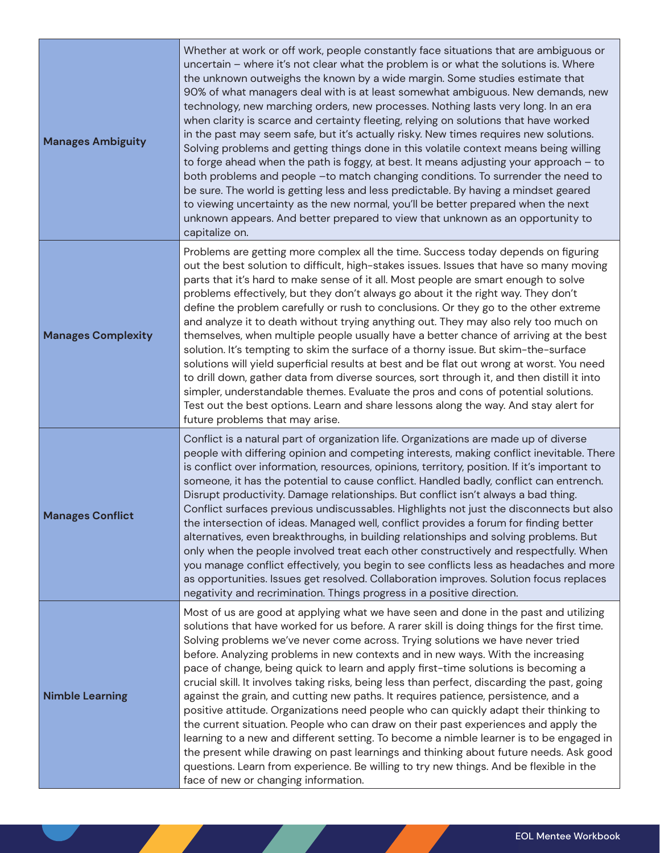| <b>Manages Ambiguity</b>  | Whether at work or off work, people constantly face situations that are ambiguous or<br>uncertain – where it's not clear what the problem is or what the solutions is. Where<br>the unknown outweighs the known by a wide margin. Some studies estimate that<br>90% of what managers deal with is at least somewhat ambiguous. New demands, new<br>technology, new marching orders, new processes. Nothing lasts very long. In an era<br>when clarity is scarce and certainty fleeting, relying on solutions that have worked<br>in the past may seem safe, but it's actually risky. New times requires new solutions.<br>Solving problems and getting things done in this volatile context means being willing<br>to forge ahead when the path is foggy, at best. It means adjusting your approach $-$ to<br>both problems and people -to match changing conditions. To surrender the need to<br>be sure. The world is getting less and less predictable. By having a mindset geared<br>to viewing uncertainty as the new normal, you'll be better prepared when the next<br>unknown appears. And better prepared to view that unknown as an opportunity to<br>capitalize on. |
|---------------------------|--------------------------------------------------------------------------------------------------------------------------------------------------------------------------------------------------------------------------------------------------------------------------------------------------------------------------------------------------------------------------------------------------------------------------------------------------------------------------------------------------------------------------------------------------------------------------------------------------------------------------------------------------------------------------------------------------------------------------------------------------------------------------------------------------------------------------------------------------------------------------------------------------------------------------------------------------------------------------------------------------------------------------------------------------------------------------------------------------------------------------------------------------------------------------------|
| <b>Manages Complexity</b> | Problems are getting more complex all the time. Success today depends on figuring<br>out the best solution to difficult, high-stakes issues. Issues that have so many moving<br>parts that it's hard to make sense of it all. Most people are smart enough to solve<br>problems effectively, but they don't always go about it the right way. They don't<br>define the problem carefully or rush to conclusions. Or they go to the other extreme<br>and analyze it to death without trying anything out. They may also rely too much on<br>themselves, when multiple people usually have a better chance of arriving at the best<br>solution. It's tempting to skim the surface of a thorny issue. But skim-the-surface<br>solutions will yield superficial results at best and be flat out wrong at worst. You need<br>to drill down, gather data from diverse sources, sort through it, and then distill it into<br>simpler, understandable themes. Evaluate the pros and cons of potential solutions.<br>Test out the best options. Learn and share lessons along the way. And stay alert for<br>future problems that may arise.                                            |
| <b>Manages Conflict</b>   | Conflict is a natural part of organization life. Organizations are made up of diverse<br>people with differing opinion and competing interests, making conflict inevitable. There<br>is conflict over information, resources, opinions, territory, position. If it's important to<br>someone, it has the potential to cause conflict. Handled badly, conflict can entrench.<br>Disrupt productivity. Damage relationships. But conflict isn't always a bad thing.<br>Conflict surfaces previous undiscussables. Highlights not just the disconnects but also<br>the intersection of ideas. Managed well, conflict provides a forum for finding better<br>alternatives, even breakthroughs, in building relationships and solving problems. But<br>only when the people involved treat each other constructively and respectfully. When<br>you manage conflict effectively, you begin to see conflicts less as headaches and more<br>as opportunities. Issues get resolved. Collaboration improves. Solution focus replaces<br>negativity and recrimination. Things progress in a positive direction.                                                                           |
| <b>Nimble Learning</b>    | Most of us are good at applying what we have seen and done in the past and utilizing<br>solutions that have worked for us before. A rarer skill is doing things for the first time.<br>Solving problems we've never come across. Trying solutions we have never tried<br>before. Analyzing problems in new contexts and in new ways. With the increasing<br>pace of change, being quick to learn and apply first-time solutions is becoming a<br>crucial skill. It involves taking risks, being less than perfect, discarding the past, going<br>against the grain, and cutting new paths. It requires patience, persistence, and a<br>positive attitude. Organizations need people who can quickly adapt their thinking to<br>the current situation. People who can draw on their past experiences and apply the<br>learning to a new and different setting. To become a nimble learner is to be engaged in<br>the present while drawing on past learnings and thinking about future needs. Ask good<br>questions. Learn from experience. Be willing to try new things. And be flexible in the<br>face of new or changing information.                                        |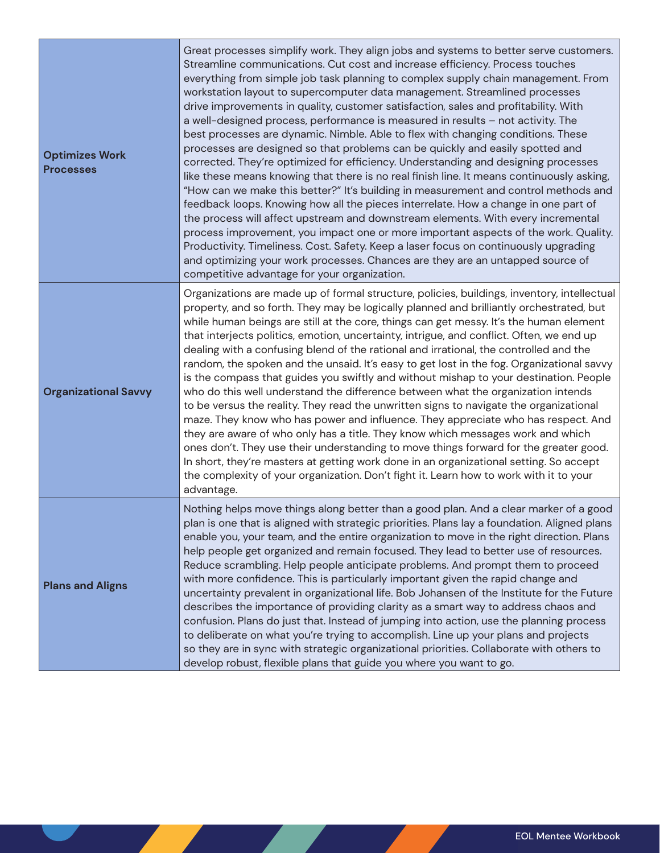| <b>Optimizes Work</b><br><b>Processes</b> | Great processes simplify work. They align jobs and systems to better serve customers.<br>Streamline communications. Cut cost and increase efficiency. Process touches<br>everything from simple job task planning to complex supply chain management. From<br>workstation layout to supercomputer data management. Streamlined processes<br>drive improvements in quality, customer satisfaction, sales and profitability. With<br>a well-designed process, performance is measured in results - not activity. The<br>best processes are dynamic. Nimble. Able to flex with changing conditions. These<br>processes are designed so that problems can be quickly and easily spotted and<br>corrected. They're optimized for efficiency. Understanding and designing processes<br>like these means knowing that there is no real finish line. It means continuously asking,<br>"How can we make this better?" It's building in measurement and control methods and<br>feedback loops. Knowing how all the pieces interrelate. How a change in one part of<br>the process will affect upstream and downstream elements. With every incremental<br>process improvement, you impact one or more important aspects of the work. Quality.<br>Productivity. Timeliness. Cost. Safety. Keep a laser focus on continuously upgrading<br>and optimizing your work processes. Chances are they are an untapped source of<br>competitive advantage for your organization. |
|-------------------------------------------|---------------------------------------------------------------------------------------------------------------------------------------------------------------------------------------------------------------------------------------------------------------------------------------------------------------------------------------------------------------------------------------------------------------------------------------------------------------------------------------------------------------------------------------------------------------------------------------------------------------------------------------------------------------------------------------------------------------------------------------------------------------------------------------------------------------------------------------------------------------------------------------------------------------------------------------------------------------------------------------------------------------------------------------------------------------------------------------------------------------------------------------------------------------------------------------------------------------------------------------------------------------------------------------------------------------------------------------------------------------------------------------------------------------------------------------------------------------|
| <b>Organizational Savvy</b>               | Organizations are made up of formal structure, policies, buildings, inventory, intellectual<br>property, and so forth. They may be logically planned and brilliantly orchestrated, but<br>while human beings are still at the core, things can get messy. It's the human element<br>that interjects politics, emotion, uncertainty, intrigue, and conflict. Often, we end up<br>dealing with a confusing blend of the rational and irrational, the controlled and the<br>random, the spoken and the unsaid. It's easy to get lost in the fog. Organizational savvy<br>is the compass that guides you swiftly and without mishap to your destination. People<br>who do this well understand the difference between what the organization intends<br>to be versus the reality. They read the unwritten signs to navigate the organizational<br>maze. They know who has power and influence. They appreciate who has respect. And<br>they are aware of who only has a title. They know which messages work and which<br>ones don't. They use their understanding to move things forward for the greater good.<br>In short, they're masters at getting work done in an organizational setting. So accept<br>the complexity of your organization. Don't fight it. Learn how to work with it to your<br>advantage.                                                                                                                                                  |
| <b>Plans and Aligns</b>                   | Nothing helps move things along better than a good plan. And a clear marker of a good<br>plan is one that is aligned with strategic priorities. Plans lay a foundation. Aligned plans<br>enable you, your team, and the entire organization to move in the right direction. Plans<br>help people get organized and remain focused. They lead to better use of resources.<br>Reduce scrambling. Help people anticipate problems. And prompt them to proceed<br>with more confidence. This is particularly important given the rapid change and<br>uncertainty prevalent in organizational life. Bob Johansen of the Institute for the Future<br>describes the importance of providing clarity as a smart way to address chaos and<br>confusion. Plans do just that. Instead of jumping into action, use the planning process<br>to deliberate on what you're trying to accomplish. Line up your plans and projects<br>so they are in sync with strategic organizational priorities. Collaborate with others to<br>develop robust, flexible plans that guide you where you want to go.                                                                                                                                                                                                                                                                                                                                                                          |